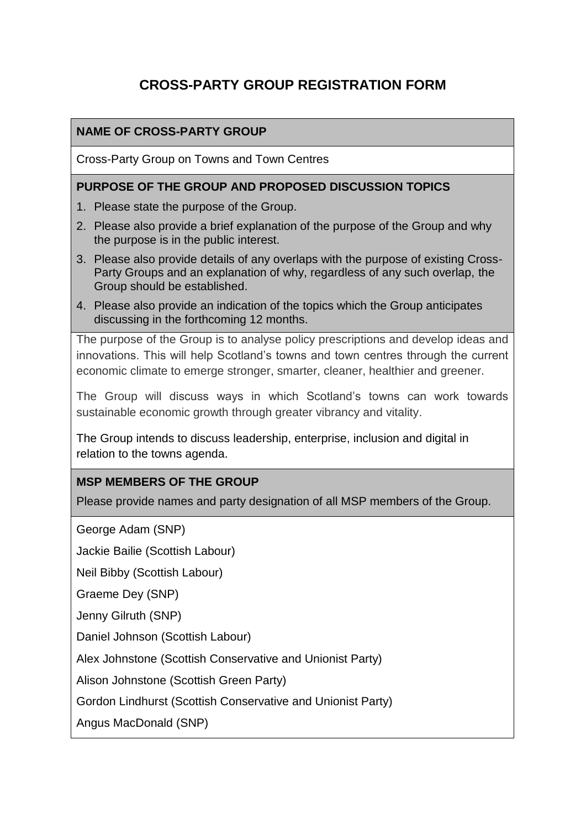# **CROSS-PARTY GROUP REGISTRATION FORM**

## **NAME OF CROSS-PARTY GROUP**

Cross-Party Group on Towns and Town Centres

#### **PURPOSE OF THE GROUP AND PROPOSED DISCUSSION TOPICS**

- 1. Please state the purpose of the Group.
- 2. Please also provide a brief explanation of the purpose of the Group and why the purpose is in the public interest.
- 3. Please also provide details of any overlaps with the purpose of existing Cross-Party Groups and an explanation of why, regardless of any such overlap, the Group should be established.
- 4. Please also provide an indication of the topics which the Group anticipates discussing in the forthcoming 12 months.

The purpose of the Group is to analyse policy prescriptions and develop ideas and innovations. This will help Scotland's towns and town centres through the current economic climate to emerge stronger, smarter, cleaner, healthier and greener.

The Group will discuss ways in which Scotland's towns can work towards sustainable economic growth through greater vibrancy and vitality.

The Group intends to discuss leadership, enterprise, inclusion and digital in relation to the towns agenda.

#### **MSP MEMBERS OF THE GROUP**

Please provide names and party designation of all MSP members of the Group.

George Adam (SNP)

Jackie Bailie (Scottish Labour)

Neil Bibby (Scottish Labour)

Graeme Dey (SNP)

Jenny Gilruth (SNP)

Daniel Johnson (Scottish Labour)

Alex Johnstone (Scottish Conservative and Unionist Party)

Alison Johnstone (Scottish Green Party)

Gordon Lindhurst (Scottish Conservative and Unionist Party)

Angus MacDonald (SNP)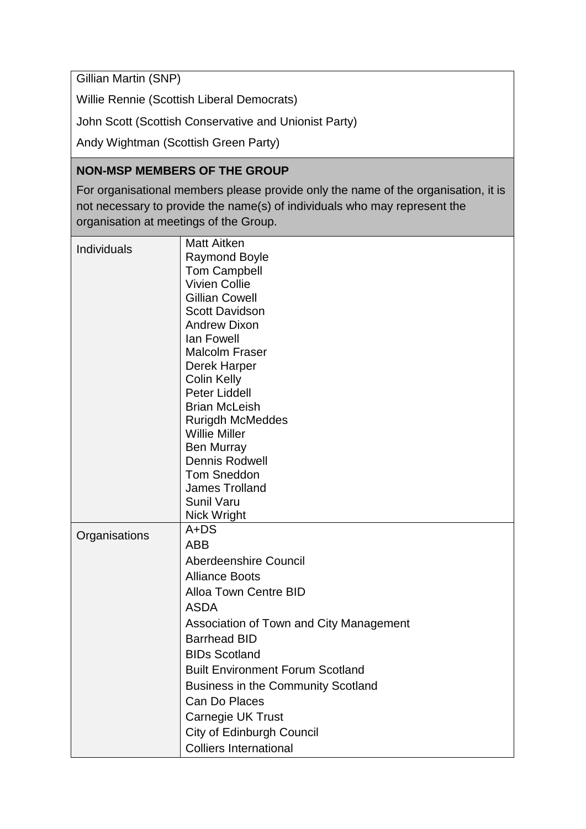Gillian Martin (SNP)

Willie Rennie (Scottish Liberal Democrats)

John Scott (Scottish Conservative and Unionist Party)

Andy Wightman (Scottish Green Party)

## **NON-MSP MEMBERS OF THE GROUP**

For organisational members please provide only the name of the organisation, it is not necessary to provide the name(s) of individuals who may represent the organisation at meetings of the Group.

| Individuals   | <b>Matt Aitken</b>                        |
|---------------|-------------------------------------------|
|               | <b>Raymond Boyle</b>                      |
|               | <b>Tom Campbell</b>                       |
|               | <b>Vivien Collie</b>                      |
|               | <b>Gillian Cowell</b>                     |
|               | <b>Scott Davidson</b>                     |
|               | <b>Andrew Dixon</b>                       |
|               | lan Fowell                                |
|               | <b>Malcolm Fraser</b>                     |
|               | Derek Harper                              |
|               | <b>Colin Kelly</b>                        |
|               | <b>Peter Liddell</b>                      |
|               | <b>Brian McLeish</b>                      |
|               | <b>Rurigdh McMeddes</b>                   |
|               | <b>Willie Miller</b>                      |
|               | <b>Ben Murray</b><br>Dennis Rodwell       |
|               | <b>Tom Sneddon</b>                        |
|               | <b>James Trolland</b>                     |
|               | <b>Sunil Varu</b>                         |
|               | Nick Wright                               |
|               | $A + DS$                                  |
| Organisations | <b>ABB</b>                                |
|               | Aberdeenshire Council                     |
|               | <b>Alliance Boots</b>                     |
|               | <b>Alloa Town Centre BID</b>              |
|               | <b>ASDA</b>                               |
|               |                                           |
|               | Association of Town and City Management   |
|               | <b>Barrhead BID</b>                       |
|               | <b>BIDs Scotland</b>                      |
|               | <b>Built Environment Forum Scotland</b>   |
|               | <b>Business in the Community Scotland</b> |
|               | Can Do Places                             |
|               | Carnegie UK Trust                         |
|               | City of Edinburgh Council                 |
|               | <b>Colliers International</b>             |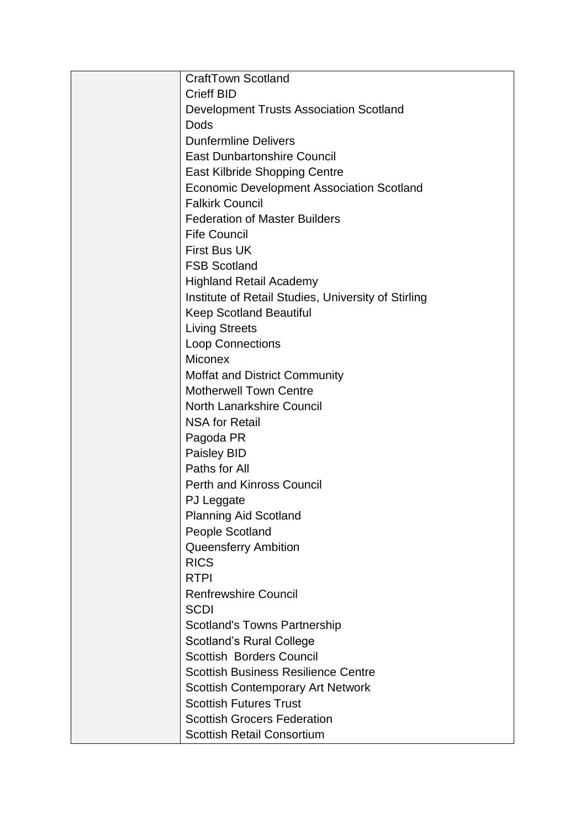| <b>CraftTown Scotland</b>                           |
|-----------------------------------------------------|
| <b>Crieff BID</b>                                   |
| <b>Development Trusts Association Scotland</b>      |
| <b>Dods</b>                                         |
| <b>Dunfermline Delivers</b>                         |
| <b>East Dunbartonshire Council</b>                  |
| East Kilbride Shopping Centre                       |
| <b>Economic Development Association Scotland</b>    |
| <b>Falkirk Council</b>                              |
| <b>Federation of Master Builders</b>                |
| <b>Fife Council</b>                                 |
| <b>First Bus UK</b>                                 |
| <b>FSB Scotland</b>                                 |
| <b>Highland Retail Academy</b>                      |
| Institute of Retail Studies, University of Stirling |
| <b>Keep Scotland Beautiful</b>                      |
| <b>Living Streets</b>                               |
| <b>Loop Connections</b>                             |
| <b>Miconex</b>                                      |
| <b>Moffat and District Community</b>                |
| <b>Motherwell Town Centre</b>                       |
| <b>North Lanarkshire Council</b>                    |
| <b>NSA for Retail</b>                               |
| Pagoda PR                                           |
| Paisley BID                                         |
| Paths for All                                       |
| <b>Perth and Kinross Council</b>                    |
| PJ Leggate                                          |
| <b>Planning Aid Scotland</b>                        |
| People Scotland                                     |
| <b>Queensferry Ambition</b>                         |
| <b>RICS</b>                                         |
| <b>RTPI</b>                                         |
| <b>Renfrewshire Council</b>                         |
| <b>SCDI</b>                                         |
| <b>Scotland's Towns Partnership</b>                 |
| <b>Scotland's Rural College</b>                     |
| <b>Scottish Borders Council</b>                     |
| <b>Scottish Business Resilience Centre</b>          |
| <b>Scottish Contemporary Art Network</b>            |
| <b>Scottish Futures Trust</b>                       |
| <b>Scottish Grocers Federation</b>                  |
| <b>Scottish Retail Consortium</b>                   |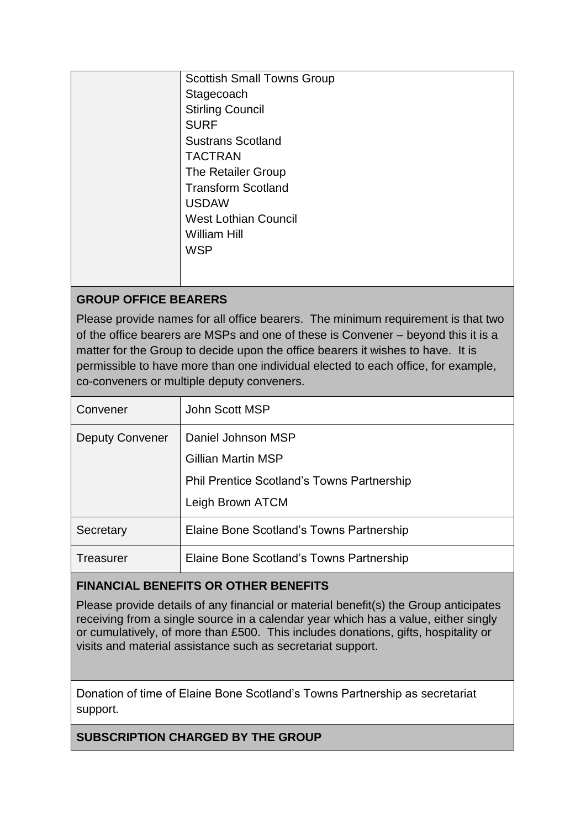| <b>Scottish Small Towns Group</b> |
|-----------------------------------|
| Stagecoach                        |
| <b>Stirling Council</b>           |
| <b>SURF</b>                       |
| <b>Sustrans Scotland</b>          |
| <b>TACTRAN</b>                    |
| The Retailer Group                |
| <b>Transform Scotland</b>         |
| <b>USDAW</b>                      |
| <b>West Lothian Council</b>       |
| <b>William Hill</b>               |
| <b>WSP</b>                        |
|                                   |
|                                   |

# **GROUP OFFICE BEARERS**

Please provide names for all office bearers. The minimum requirement is that two of the office bearers are MSPs and one of these is Convener – beyond this it is a matter for the Group to decide upon the office bearers it wishes to have. It is permissible to have more than one individual elected to each office, for example, co-conveners or multiple deputy conveners.

| Convener               | John Scott MSP                                                                                                           |
|------------------------|--------------------------------------------------------------------------------------------------------------------------|
| <b>Deputy Convener</b> | Daniel Johnson MSP<br><b>Gillian Martin MSP</b><br><b>Phil Prentice Scotland's Towns Partnership</b><br>Leigh Brown ATCM |
| Secretary              | Elaine Bone Scotland's Towns Partnership                                                                                 |
| Treasurer              | Elaine Bone Scotland's Towns Partnership                                                                                 |

# **FINANCIAL BENEFITS OR OTHER BENEFITS**

Please provide details of any financial or material benefit(s) the Group anticipates receiving from a single source in a calendar year which has a value, either singly or cumulatively, of more than £500. This includes donations, gifts, hospitality or visits and material assistance such as secretariat support.

Donation of time of Elaine Bone Scotland's Towns Partnership as secretariat support.

**SUBSCRIPTION CHARGED BY THE GROUP**